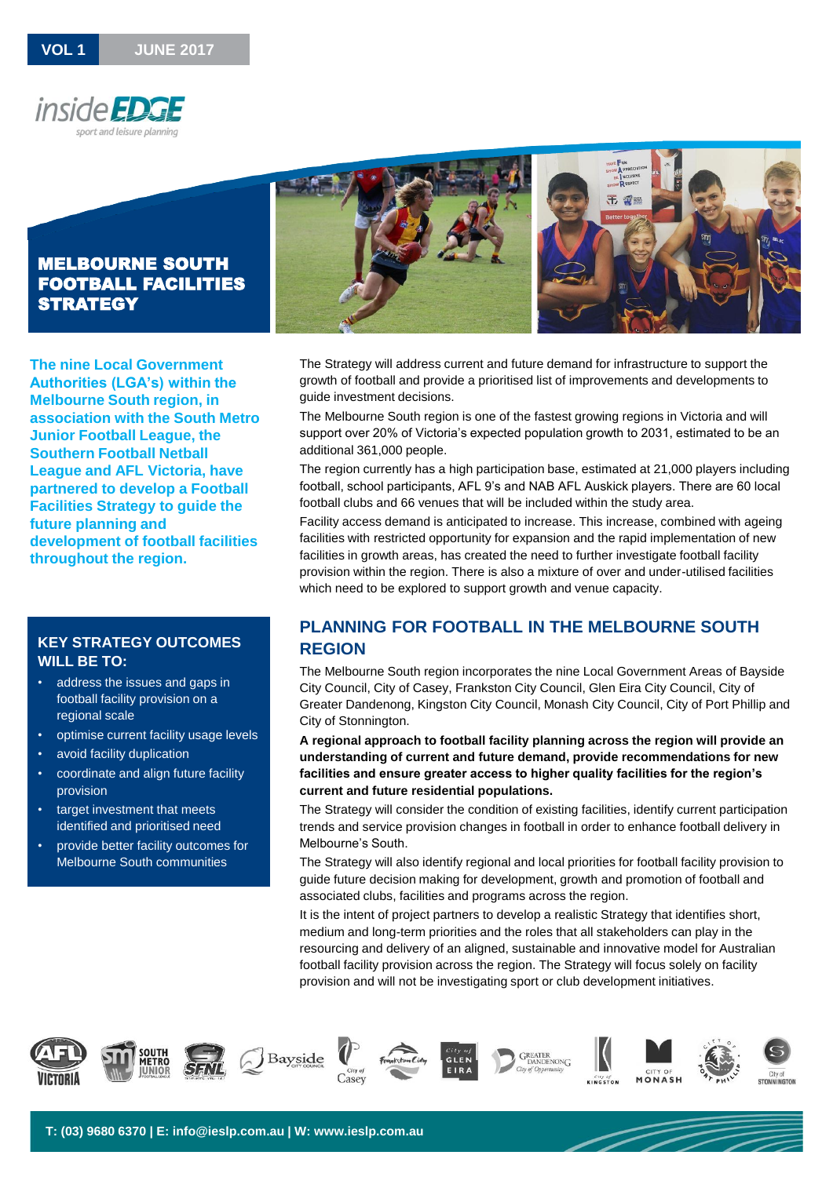



**The nine Local Government Authorities (LGA's) within the Melbourne South region, in association with the South Metro Junior Football League, the Southern Football Netball League and AFL Victoria, have partnered to develop a Football Facilities Strategy to guide the future planning and development of football facilities throughout the region.**

### **KEY STRATEGY OUTCOMES WILL BE TO:**

- address the issues and gaps in football facility provision on a regional scale
- optimise current facility usage levels
- avoid facility duplication
- coordinate and align future facility provision
- target investment that meets identified and prioritised need
- provide better facility outcomes for Melbourne South communities

The Strategy will address current and future demand for infrastructure to support the growth of football and provide a prioritised list of improvements and developments to guide investment decisions.

The Melbourne South region is one of the fastest growing regions in Victoria and will support over 20% of Victoria's expected population growth to 2031, estimated to be an additional 361,000 people.

The region currently has a high participation base, estimated at 21,000 players including football, school participants, AFL 9's and NAB AFL Auskick players. There are 60 local football clubs and 66 venues that will be included within the study area.

Facility access demand is anticipated to increase. This increase, combined with ageing facilities with restricted opportunity for expansion and the rapid implementation of new facilities in growth areas, has created the need to further investigate football facility provision within the region. There is also a mixture of over and under-utilised facilities which need to be explored to support growth and venue capacity.

# **PLANNING FOR FOOTBALL IN THE MELBOURNE SOUTH REGION**

The Melbourne South region incorporates the nine Local Government Areas of Bayside City Council, City of Casey, Frankston City Council, Glen Eira City Council, City of Greater Dandenong, Kingston City Council, Monash City Council, City of Port Phillip and City of Stonnington.

**A regional approach to football facility planning across the region will provide an understanding of current and future demand, provide recommendations for new facilities and ensure greater access to higher quality facilities for the region's current and future residential populations.**

The Strategy will consider the condition of existing facilities, identify current participation trends and service provision changes in football in order to enhance football delivery in Melbourne's South.

The Strategy will also identify regional and local priorities for football facility provision to guide future decision making for development, growth and promotion of football and associated clubs, facilities and programs across the region.

It is the intent of project partners to develop a realistic Strategy that identifies short, medium and long-term priorities and the roles that all stakeholders can play in the resourcing and delivery of an aligned, sustainable and innovative model for Australian football facility provision across the region. The Strategy will focus solely on facility provision and will not be investigating sport or club development initiatives.

















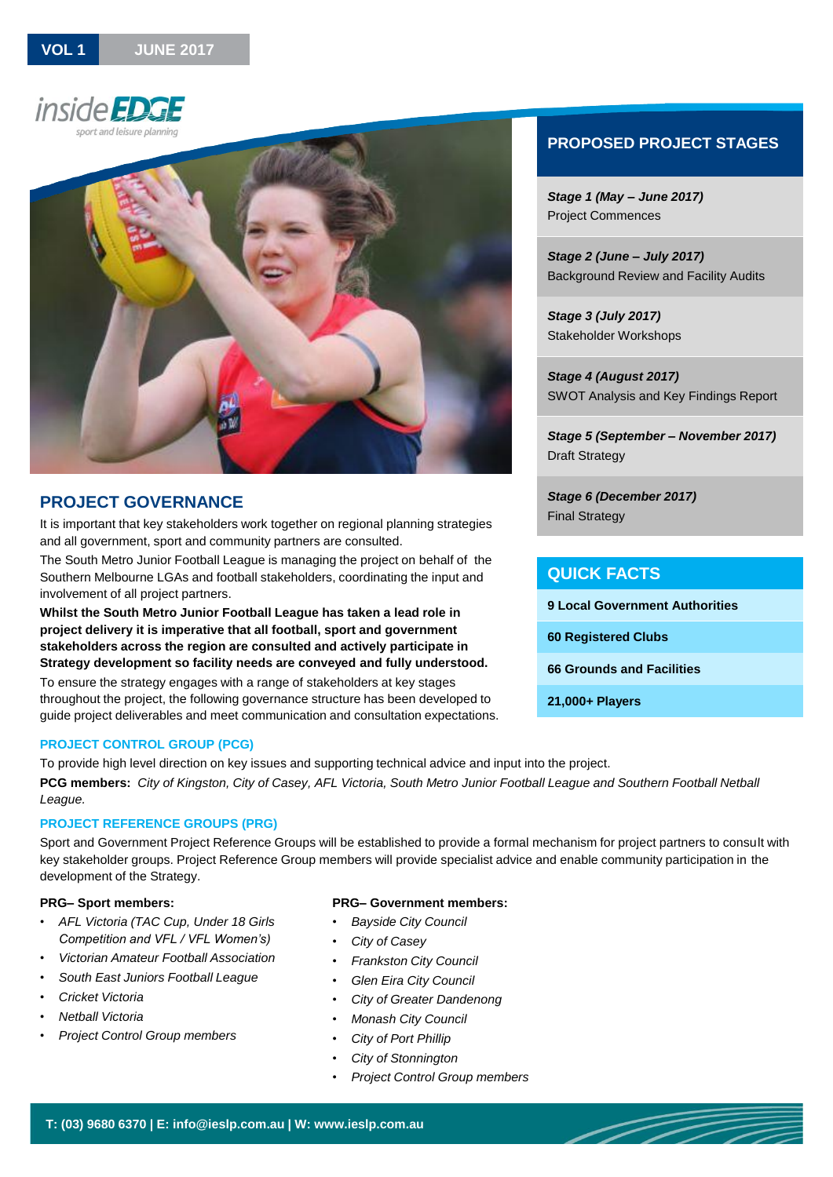



# **PROJECT GOVERNANCE**

It is important that key stakeholders work together on regional planning strategies and all government, sport and community partners are consulted.

The South Metro Junior Football League is managing the project on behalf of the Southern Melbourne LGAs and football stakeholders, coordinating the input and involvement of all project partners.

**Whilst the South Metro Junior Football League has taken a lead role in project delivery it is imperative that all football, sport and government stakeholders across the region are consulted and actively participate in Strategy development so facility needs are conveyed and fully understood.**

To ensure the strategy engages with a range of stakeholders at key stages throughout the project, the following governance structure has been developed to guide project deliverables and meet communication and consultation expectations.

### **PROJECT CONTROL GROUP (PCG)**

To provide high level direction on key issues and supporting technical advice and input into the project. **PCG members:** *City of Kingston, City of Casey, AFL Victoria, South Metro Junior Football League and Southern Football Netball League.*

### **PROJECT REFERENCE GROUPS (PRG)**

Sport and Government Project Reference Groups will be established to provide a formal mechanism for project partners to consult with key stakeholder groups. Project Reference Group members will provide specialist advice and enable community participation in the development of the Strategy.

#### **PRG– Sport members:**

- *AFL Victoria (TAC Cup, Under 18 Girls Competition and VFL / VFL Women's)*
- *Victorian Amateur Football Association*
- *South East Juniors Football League*
- *Cricket Victoria*
- *Netball Victoria*
- *Project Control Group members*

#### **PRG– Government members:**

- *Bayside City Council*
- *City of Casey*
- *Frankston City Council*
- *Glen Eira City Council*
- *City of Greater Dandenong*
- *Monash City Council*
- *City of Port Phillip*
- *City of Stonnington*
- *Project Control Group members*

# **PROPOSED PROJECT STAGES**

*Stage 1 (May – June 2017)* Project Commences

*Stage 2 (June – July 2017)*  Background Review and Facility Audits

*Stage 3 (July 2017)* Stakeholder Workshops

*Stage 4 (August 2017)* SWOT Analysis and Key Findings Report

*Stage 5 (September – November 2017)* Draft Strategy

*Stage 6 (December 2017)* Final Strategy

### **QUICK FACTS**

| <b>9 Local Government Authorities</b> |
|---------------------------------------|
| <b>60 Registered Clubs</b>            |
| 66 Grounds and Facilities             |
| 21.000+ Players                       |